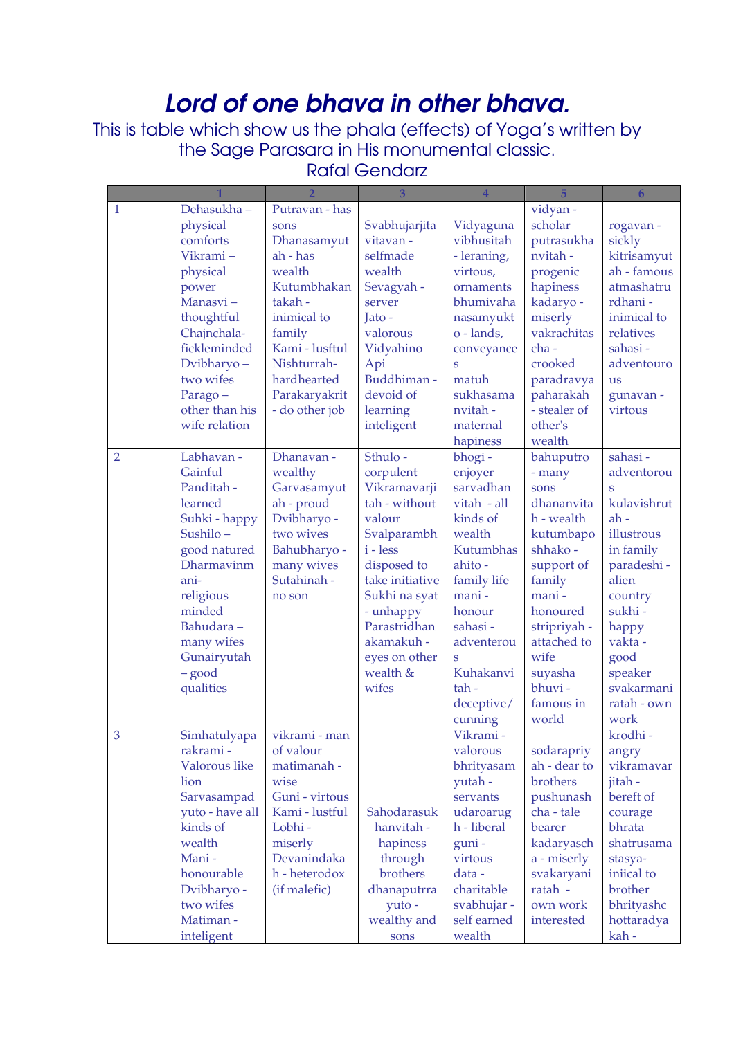## Lord of one bhava in other bhava.

This is table which show us the phala (effects) of Yoga's written by the Sage Parasara in His monumental classic.

## Rafal Gendarz

|                |                          |                        | 3                   | $\overline{\mathbf{4}}$    | 5                         | $6\phantom{1}$        |
|----------------|--------------------------|------------------------|---------------------|----------------------------|---------------------------|-----------------------|
| $\mathbf{1}$   | Dehasukha-               | Putravan - has         |                     |                            | vidyan -                  |                       |
|                | physical                 | sons                   | Svabhujarjita       | Vidyaguna                  | scholar                   | rogavan-              |
|                | comforts                 | Dhanasamyut            | vitavan -           | vibhusitah                 | putrasukha                | sickly                |
|                | Vikrami-                 | ah - has               | selfmade            | - leraning,                | nvitah -                  | kitrisamyut           |
|                | physical                 | wealth                 | wealth              | virtous,                   | progenic                  | ah - famous           |
|                | power                    | Kutumbhakan            | Sevagyah -          | ornaments                  | hapiness                  | atmashatru            |
|                | Manasvi-                 | takah-                 | server              | bhumivaha                  | kadaryo -                 | rdhani -              |
|                | thoughtful               | inimical to            | Jato -              | nasamyukt                  | miserly                   | inimical to           |
|                | Chajnchala-              | family                 | valorous            | o - lands,                 | vakrachitas               | relatives             |
|                | fickleminded             | Kami - lusftul         | Vidyahino           | conveyance                 | cha-                      | sahasi-               |
|                | Dvibharyo-               | Nishturrah-            | Api                 | S                          | crooked                   | adventouro            |
|                | two wifes                | hardhearted            | Buddhiman -         | matuh                      | paradravya                | <b>us</b>             |
|                | Parago-                  | Parakaryakrit          | devoid of           | sukhasama                  | paharakah                 | gunavan -             |
|                | other than his           | - do other job         | learning            | nvitah-                    | - stealer of              | virtous               |
|                | wife relation            |                        | inteligent          | maternal                   | other's                   |                       |
|                |                          |                        |                     | hapiness                   | wealth                    |                       |
| $\overline{2}$ | Labhavan -               | Dhanavan -             | Sthulo-             | bhogi-                     | bahuputro                 | sahasi-               |
|                | Gainful                  | wealthy                | corpulent           | enjoyer                    | - many                    | adventorou            |
|                | Panditah -               | Garvasamyut            | Vikramavarji        | sarvadhan                  | sons                      | Š                     |
|                | learned                  | ah - proud             | tah - without       | vitah - all                | dhananvita                | kulavishrut           |
|                | Suhki - happy            | Dvibharyo -            | valour              | kinds of                   | h - wealth                | ah-                   |
|                | Sushilo-                 | two wives              | Svalparambh         | wealth                     | kutumbapo                 | illustrous            |
|                | good natured             | Bahubharyo -           | $i - less$          | Kutumbhas                  | shhako-                   | in family             |
|                | Dharmavinm               | many wives             | disposed to         | ahito-                     | support of                | paradeshi -           |
|                | ani-                     | Sutahinah -            | take initiative     | family life                | family                    | alien                 |
|                | religious                | no son                 | Sukhi na syat       | mani-                      | mani-                     | country               |
|                | minded                   |                        | - unhappy           | honour                     | honoured                  | sukhi-                |
|                | Bahudara-                |                        | Parastridhan        | sahasi-                    | stripriyah -              | happy                 |
|                | many wifes               |                        | akamakuh -          | adventerou                 | attached to               | vakta -               |
|                | Gunairyutah              |                        | eyes on other       | S                          | wife                      | good                  |
|                | $-$ good                 |                        | wealth &            | Kuhakanvi                  | suyasha                   | speaker               |
|                | qualities                |                        | wifes               | tah-                       | bhuvi-                    | svakarmani            |
|                |                          |                        |                     | deceptive/                 | famous in                 | ratah - own           |
|                |                          |                        |                     | cunning                    | world                     | work                  |
| 3              | Simhatulyapa             | vikrami - man          |                     | Vikrami -                  |                           | krodhi-               |
|                | rakrami -                | of valour              |                     | valorous                   | sodarapriy                | angry                 |
|                | Valorous like            | matimanah -            |                     | bhrityasam                 | ah - dear to              | vikramavar            |
|                | lion                     | wise                   |                     | yutah -                    | brothers                  | jitah -               |
|                | Sarvasampad              | Guni - virtous         |                     | servants                   | pushunash                 | bereft of             |
|                | yuto - have all          | Kami - lustful         | Sahodarasuk         | udaroarug                  | cha - tale                | courage               |
|                | kinds of<br>wealth       | Lobhi-                 | hanvitah -          | h - liberal                | bearer                    | bhrata<br>shatrusama  |
|                | Mani-                    | miserly<br>Devanindaka | hapiness            | guni-<br>virtous           | kadaryasch                |                       |
|                | honourable               | h - heterodox          | through<br>brothers | data-                      | a - miserly<br>svakaryani | stasya-<br>iniical to |
|                |                          | (if malefic)           |                     | charitable                 | ratah -                   | brother               |
|                | Dvibharyo -<br>two wifes |                        | dhanaputrra         |                            | own work                  |                       |
|                | Matiman-                 |                        | yuto-               | svabhujar -<br>self earned |                           | bhrityashc            |
|                |                          |                        | wealthy and         |                            | interested                | hottaradya            |
|                | inteligent               |                        | sons                | wealth                     |                           | kah-                  |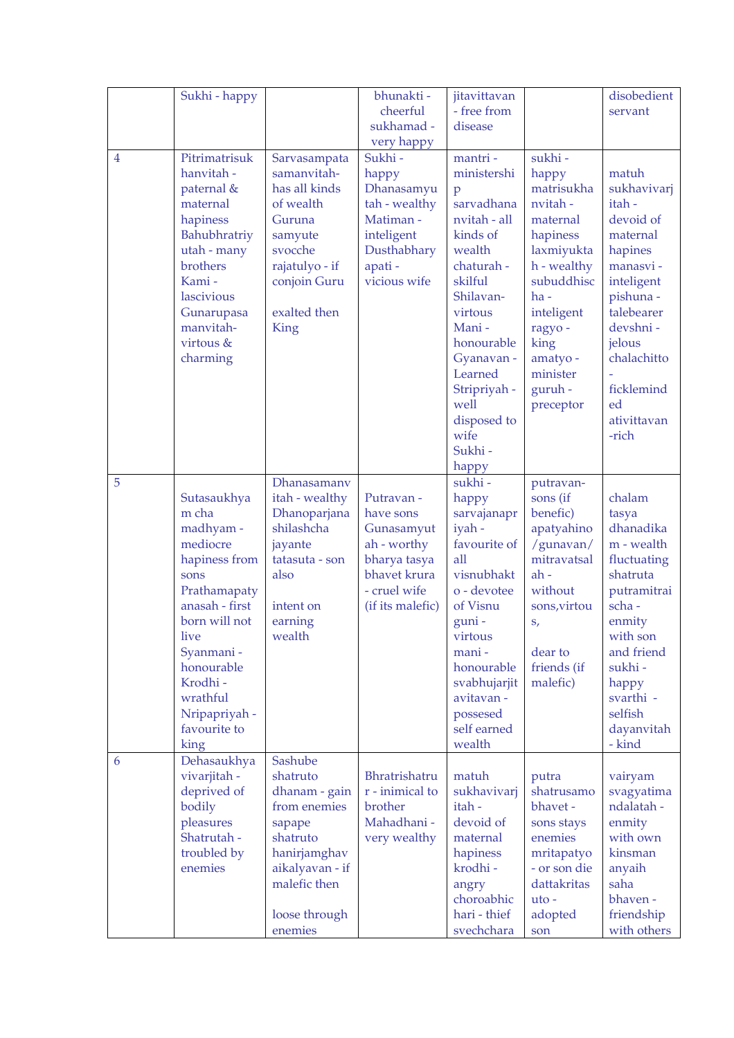|   | Sukhi - happy                                                                                                                                                                                                                        |                                                                                                                                                           | bhunakti -<br>cheerful<br>sukhamad -<br>very happy                                                                       | jitavittavan<br>- free from<br>disease                                                                                                                                                                                                                        |                                                                                                                                                                                                        | disobedient<br>servant                                                                                                                                                                                  |
|---|--------------------------------------------------------------------------------------------------------------------------------------------------------------------------------------------------------------------------------------|-----------------------------------------------------------------------------------------------------------------------------------------------------------|--------------------------------------------------------------------------------------------------------------------------|---------------------------------------------------------------------------------------------------------------------------------------------------------------------------------------------------------------------------------------------------------------|--------------------------------------------------------------------------------------------------------------------------------------------------------------------------------------------------------|---------------------------------------------------------------------------------------------------------------------------------------------------------------------------------------------------------|
| 4 | Pitrimatrisuk<br>hanvitah -<br>paternal &<br>maternal<br>hapiness<br>Bahubhratriy<br>utah - many<br>brothers<br>Kami-<br>lascivious<br>Gunarupasa<br>manvitah-<br>virtous &<br>charming                                              | Sarvasampata<br>samanvitah-<br>has all kinds<br>of wealth<br>Guruna<br>samyute<br>svocche<br>rajatulyo - if<br>conjoin Guru<br>exalted then<br>King       | Sukhi-<br>happy<br>Dhanasamyu<br>tah - wealthy<br>Matiman-<br>inteligent<br>Dusthabhary<br>apati-<br>vicious wife        | mantri-<br>ministershi<br>$\mathbf{p}$<br>sarvadhana<br>nvitah - all<br>kinds of<br>wealth<br>chaturah -<br>skilful<br>Shilavan-<br>virtous<br>Mani-<br>honourable<br>Gyanavan -<br>Learned<br>Stripriyah -<br>well<br>disposed to<br>wife<br>Sukhi-<br>happy | sukhi-<br>happy<br>matrisukha<br>nvitah -<br>maternal<br>hapiness<br>laxmiyukta<br>h - wealthy<br>subuddhisc<br>$ha -$<br>inteligent<br>ragyo-<br>king<br>amatyo -<br>minister<br>guruh -<br>preceptor | matuh<br>sukhavivarj<br>itah-<br>devoid of<br>maternal<br>hapines<br>manasvi-<br>inteligent<br>pishuna -<br>talebearer<br>devshni-<br>jelous<br>chalachitto<br>ficklemind<br>ed<br>ativittavan<br>-rich |
| 5 | Sutasaukhya<br>m cha<br>madhyam -<br>mediocre<br>hapiness from<br>sons<br>Prathamapaty<br>anasah - first<br>born will not<br><i>live</i><br>Syanmani -<br>honourable<br>Krodhi-<br>wrathful<br>Nripapriyah -<br>favourite to<br>king | Dhanasamany<br>itah - wealthy<br>Dhanoparjana<br>shilashcha<br>jayante<br>tatasuta - son<br>also<br>intent on<br>earning<br>wealth                        | Putravan -<br>have sons<br>Gunasamyut<br>ah - worthy<br>bharya tasya<br>bhavet krura<br>- cruel wife<br>(if its malefic) | sukhi-<br>happy<br>sarvajanapr<br>iyah -<br>favourite of<br>all<br>visnubhakt<br>o - devotee<br>of Visnu<br>guni-<br>virtous<br>mani-<br>honourable<br>svabhujarjit<br>avitavan -<br>possesed<br>self earned<br>wealth                                        | putravan-<br>sons (if<br>benefic)<br>apatyahino<br>/gunavan/<br>mitravatsal<br>$ah -$<br>without<br>sons, virtou<br>S,<br>dear to<br>friends (if<br>malefic)                                           | chalam<br>tasya<br>dhanadika<br>m - wealth<br>fluctuating<br>shatruta<br>putramitrai<br>scha-<br>enmity<br>with son<br>and friend<br>sukhi-<br>happy<br>svarthi -<br>selfish<br>dayanvitah<br>- kind    |
| 6 | Dehasaukhya<br>vivarjitah -<br>deprived of<br>bodily<br>pleasures<br>Shatrutah -<br>troubled by<br>enemies                                                                                                                           | Sashube<br>shatruto<br>dhanam - gain<br>from enemies<br>sapape<br>shatruto<br>hanirjamghav<br>aikalyavan - if<br>malefic then<br>loose through<br>enemies | Bhratrishatru<br>r - inimical to<br>brother<br>Mahadhani -<br>very wealthy                                               | matuh<br>sukhavivarj<br>itah-<br>devoid of<br>maternal<br>hapiness<br>krodhi-<br>angry<br>choroabhic<br>hari - thief<br>svechchara                                                                                                                            | putra<br>shatrusamo<br>bhavet -<br>sons stays<br>enemies<br>mritapatyo<br>- or son die<br>dattakritas<br>uto-<br>adopted<br>son                                                                        | vairyam<br>svagyatima<br>ndalatah -<br>enmity<br>with own<br>kinsman<br>anyaih<br>saha<br>bhaven-<br>friendship<br>with others                                                                          |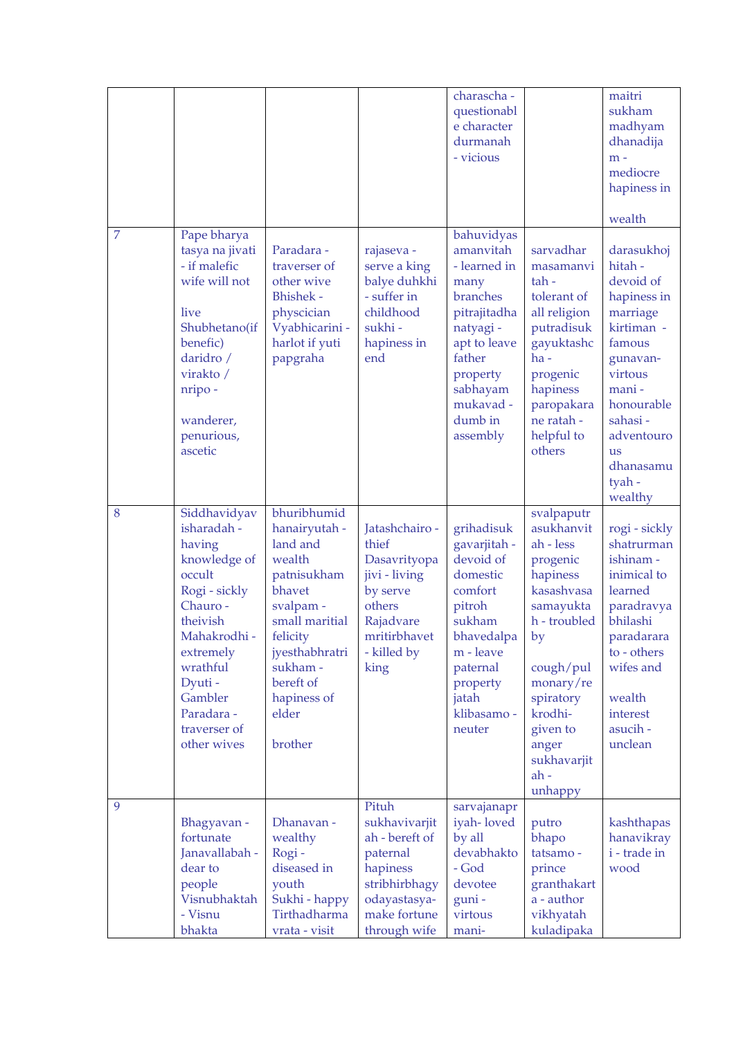|                |                                                                                                                                                                                                                     |                                                                                                                                                                                                      |                                                                                                                                    | charascha -<br>questionabl<br>e character<br>durmanah<br>- vicious                                                                                                             |                                                                                                                                                                                                                        | maitri<br>sukham<br>madhyam<br>dhanadija<br>$m -$<br>mediocre<br>hapiness in<br>wealth                                                                                                                       |
|----------------|---------------------------------------------------------------------------------------------------------------------------------------------------------------------------------------------------------------------|------------------------------------------------------------------------------------------------------------------------------------------------------------------------------------------------------|------------------------------------------------------------------------------------------------------------------------------------|--------------------------------------------------------------------------------------------------------------------------------------------------------------------------------|------------------------------------------------------------------------------------------------------------------------------------------------------------------------------------------------------------------------|--------------------------------------------------------------------------------------------------------------------------------------------------------------------------------------------------------------|
| $\overline{7}$ | Pape bharya<br>tasya na jivati<br>- if malefic<br>wife will not<br>live<br>Shubhetano(if<br>benefic)<br>daridro /<br>virakto /<br>nripo-<br>wanderer,<br>penurious,<br>ascetic                                      | Paradara -<br>traverser of<br>other wive<br><b>Bhishek -</b><br>physcician<br>Vyabhicarini -<br>harlot if yuti<br>papgraha                                                                           | rajaseva -<br>serve a king<br>balye duhkhi<br>- suffer in<br>childhood<br>sukhi-<br>hapiness in<br>end                             | bahuvidyas<br>amanvitah<br>- learned in<br>many<br>branches<br>pitrajitadha<br>natyagi -<br>apt to leave<br>father<br>property<br>sabhayam<br>mukavad -<br>dumb in<br>assembly | sarvadhar<br>masamanvi<br>tah-<br>tolerant of<br>all religion<br>putradisuk<br>gayuktashc<br>$ha -$<br>progenic<br>hapiness<br>paropakara<br>ne ratah -<br>helpful to<br>others                                        | darasukhoj<br>hitah -<br>devoid of<br>hapiness in<br>marriage<br>kirtiman -<br>famous<br>gunavan-<br>virtous<br>mani -<br>honourable<br>sahasi-<br>adventouro<br><b>us</b><br>dhanasamu<br>tyah -<br>wealthy |
| 8              | Siddhavidyav<br>isharadah -<br>having<br>knowledge of<br>occult<br>Rogi - sickly<br>Chauro -<br>theivish<br>Mahakrodhi -<br>extremely<br>wrathful<br>Dyuti-<br>Gambler<br>Paradara -<br>traverser of<br>other wives | bhuribhumid<br>hanairyutah -<br>land and<br>wealth<br>patnisukham<br>bhavet<br>svalpam -<br>small maritial<br>felicity<br>jyesthabhratri<br>sukham -<br>bereft of<br>hapiness of<br>elder<br>brother | Jatashchairo -<br>thief<br>Dasavrityopa<br>jivi - living<br>by serve<br>others<br>Rajadvare<br>mritirbhavet<br>- killed by<br>king | grihadisuk<br>gavarjitah -<br>devoid of<br>domestic<br>comfort<br>pitroh<br>sukham<br>bhavedalpa<br>m - leave<br>paternal<br>property<br>jatah<br>klibasamo -<br>neuter        | svalpaputr<br>asukhanvit<br>ah - less<br>progenic<br>hapiness<br>kasashvasa<br>samayukta<br>h - troubled<br>by<br>cough/pul<br>monary/re<br>spiratory<br>krodhi-<br>given to<br>anger<br>sukhavarjit<br>ah-<br>unhappy | rogi - sickly<br>shatrurman<br>ishinam -<br>inimical to<br>learned<br>paradravya<br>bhilashi<br>paradarara<br>to - others<br>wifes and<br>wealth<br>interest<br>asucih -<br>unclean                          |
| 9              | Bhagyavan -<br>fortunate<br>Janavallabah -<br>dear to<br>people<br>Visnubhaktah<br>- Visnu<br>bhakta                                                                                                                | Dhanavan -<br>wealthy<br>Rogi-<br>diseased in<br>youth<br>Sukhi - happy<br>Tirthadharma<br>vrata - visit                                                                                             | Pituh<br>sukhavivarjit<br>ah - bereft of<br>paternal<br>hapiness<br>stribhirbhagy<br>odayastasya-<br>make fortune<br>through wife  | sarvajanapr<br>iyah-loved<br>by all<br>devabhakto<br>- God<br>devotee<br>guni-<br>virtous<br>mani-                                                                             | putro<br>bhapo<br>tatsamo -<br>prince<br>granthakart<br>a - author<br>vikhyatah<br>kuladipaka                                                                                                                          | kashthapas<br>hanavikray<br>i - trade in<br>wood                                                                                                                                                             |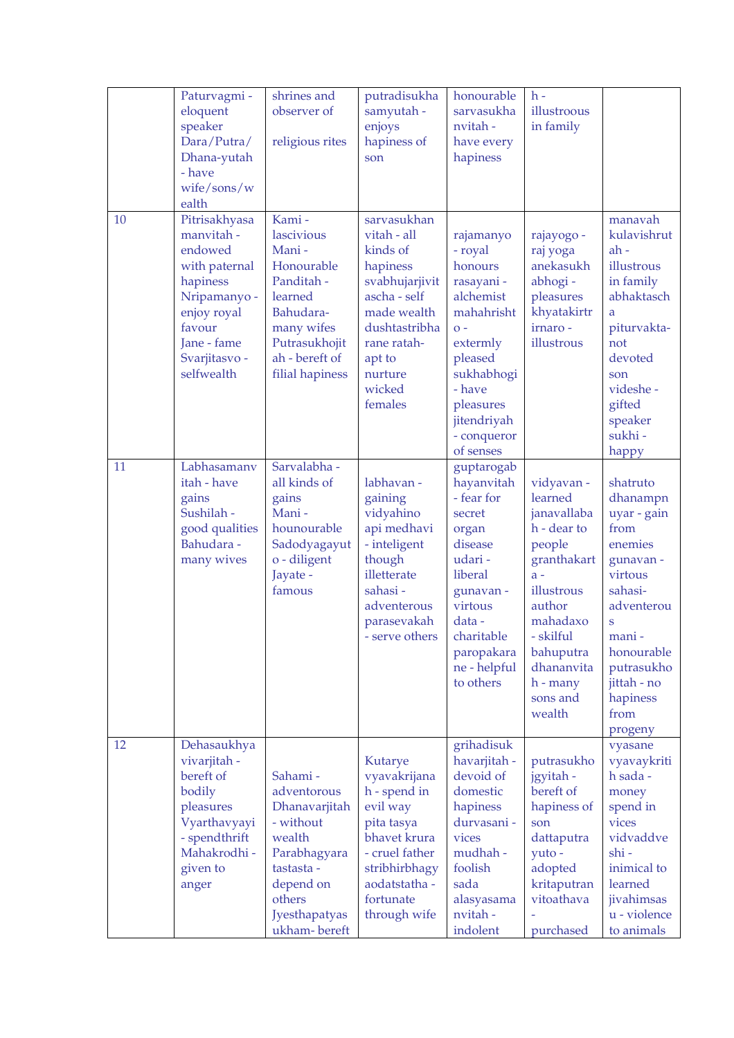|    | Paturvagmi -<br>eloquent<br>speaker<br>Dara/Putra/<br>Dhana-yutah<br>- have<br>wife/sons/w<br>ealth                                                        | shrines and<br>observer of<br>religious rites                                                                                                        | putradisukha<br>samyutah -<br>enjoys<br>hapiness of<br>son                                                                                                                    | honourable<br>sarvasukha<br>nvitah-<br>have every<br>hapiness                                                                                                                            | $h -$<br>illustroous<br>in family                                                                                                                                                                     |                                                                                                                                                                                                  |
|----|------------------------------------------------------------------------------------------------------------------------------------------------------------|------------------------------------------------------------------------------------------------------------------------------------------------------|-------------------------------------------------------------------------------------------------------------------------------------------------------------------------------|------------------------------------------------------------------------------------------------------------------------------------------------------------------------------------------|-------------------------------------------------------------------------------------------------------------------------------------------------------------------------------------------------------|--------------------------------------------------------------------------------------------------------------------------------------------------------------------------------------------------|
| 10 | Pitrisakhyasa<br>manvitah -<br>endowed<br>with paternal<br>hapiness<br>Nripamanyo -<br>enjoy royal<br>favour<br>Jane - fame<br>Svarjitasvo -<br>selfwealth | Kami-<br>lascivious<br>Mani-<br>Honourable<br>Panditah -<br>learned<br>Bahudara-<br>many wifes<br>Putrasukhojit<br>ah - bereft of<br>filial hapiness | sarvasukhan<br>vitah - all<br>kinds of<br>hapiness<br>svabhujarjivit<br>ascha - self<br>made wealth<br>dushtastribha<br>rane ratah-<br>apt to<br>nurture<br>wicked<br>females | rajamanyo<br>- royal<br>honours<br>rasayani -<br>alchemist<br>mahahrisht<br>$O -$<br>extermly<br>pleased<br>sukhabhogi<br>- have<br>pleasures<br>jitendriyah<br>- conqueror<br>of senses | rajayogo -<br>raj yoga<br>anekasukh<br>abhogi-<br>pleasures<br>khyatakirtr<br>irnaro -<br>illustrous                                                                                                  | manavah<br>kulavishrut<br>ah-<br>illustrous<br>in family<br>abhaktasch<br>a<br>piturvakta-<br>not<br>devoted<br>son<br>videshe -<br>gifted<br>speaker<br>sukhi-<br>happy                         |
| 11 | Labhasamanv<br>itah - have<br>gains<br>Sushilah -<br>good qualities<br>Bahudara -<br>many wives                                                            | Sarvalabha -<br>all kinds of<br>gains<br>Mani-<br>hounourable<br>Sadodyagayut<br>o - diligent<br>Jayate -<br>famous                                  | labhavan -<br>gaining<br>vidyahino<br>api medhavi<br>- inteligent<br>though<br>illetterate<br>sahasi-<br>adventerous<br>parasevakah<br>- serve others                         | guptarogab<br>hayanvitah<br>- fear for<br>secret<br>organ<br>disease<br>udari-<br>liberal<br>gunavan -<br>virtous<br>data-<br>charitable<br>paropakara<br>ne - helpful<br>to others      | vidyavan -<br>learned<br>janavallaba<br>h - dear to<br>people<br>granthakart<br>$a -$<br>illustrous<br>author<br>mahadaxo<br>- skilful<br>bahuputra<br>dhananvita<br>$h$ - many<br>sons and<br>wealth | shatruto<br>dhanampn<br>uyar - gain<br>from<br>enemies<br>gunavan -<br>virtous<br>sahasi-<br>adventerou<br>S<br>mani -<br>honourable<br>putrasukho<br>jittah - no<br>hapiness<br>from<br>progeny |
| 12 | Dehasaukhya<br>vivarjitah -<br>bereft of<br>bodily<br>pleasures<br>Vyarthavyayi<br>- spendthrift<br>Mahakrodhi -<br>given to<br>anger                      | Sahami-<br>adventorous<br>Dhanavarjitah<br>- without<br>wealth<br>Parabhagyara<br>tastasta -<br>depend on<br>others<br>Jyesthapatyas<br>ukham-bereft | Kutarye<br>vyavakrijana<br>h - spend in<br>evil way<br>pita tasya<br>bhavet krura<br>- cruel father<br>stribhirbhagy<br>aodatstatha -<br>fortunate<br>through wife            | grihadisuk<br>havarjitah -<br>devoid of<br>domestic<br>hapiness<br>durvasani -<br>vices<br>mudhah -<br>foolish<br>sada<br>alasyasama<br>nvitah-<br>indolent                              | putrasukho<br>jgyitah -<br>bereft of<br>hapiness of<br>son<br>dattaputra<br>yuto -<br>adopted<br>kritaputran<br>vitoathava<br>purchased                                                               | vyasane<br>vyavaykriti<br>h sada -<br>money<br>spend in<br>vices<br>vidvaddve<br>shi-<br>inimical to<br>learned<br>jivahimsas<br>u - violence<br>to animals                                      |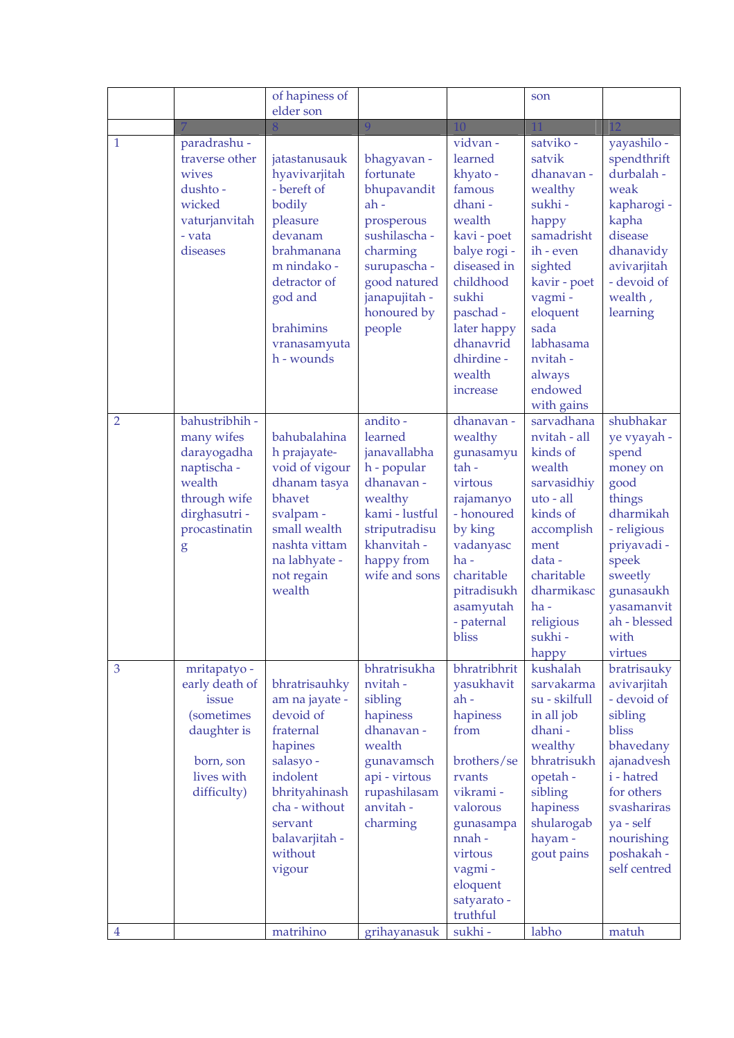|                |                                                                                                                             | of hapiness of<br>elder son                                                                                                                                                       |                                                                                                                                                                        |                                                                                                                                                                                                              | son                                                                                                                                                                                                              |                                                                                                                                                                                              |
|----------------|-----------------------------------------------------------------------------------------------------------------------------|-----------------------------------------------------------------------------------------------------------------------------------------------------------------------------------|------------------------------------------------------------------------------------------------------------------------------------------------------------------------|--------------------------------------------------------------------------------------------------------------------------------------------------------------------------------------------------------------|------------------------------------------------------------------------------------------------------------------------------------------------------------------------------------------------------------------|----------------------------------------------------------------------------------------------------------------------------------------------------------------------------------------------|
|                |                                                                                                                             |                                                                                                                                                                                   | 9                                                                                                                                                                      | 10                                                                                                                                                                                                           | 11                                                                                                                                                                                                               | 12                                                                                                                                                                                           |
| 1              | paradrashu -<br>traverse other<br>wives<br>dushto-<br>wicked<br>vaturjanvitah<br>- vata<br>diseases                         | jatastanusauk<br>hyavivarjitah<br>- bereft of<br>bodily<br>pleasure<br>devanam<br>brahmanana<br>m nindako -<br>detractor of<br>god and<br>brahimins<br>vranasamyuta<br>h - wounds | bhagyavan -<br>fortunate<br>bhupavandit<br>$ah -$<br>prosperous<br>sushilascha -<br>charming<br>surupascha -<br>good natured<br>janapujitah -<br>honoured by<br>people | vidvan-<br>learned<br>khyato-<br>famous<br>dhani-<br>wealth<br>kavi - poet<br>balye rogi -<br>diseased in<br>childhood<br>sukhi<br>paschad -<br>later happy<br>dhanavrid<br>dhirdine -<br>wealth<br>increase | satviko -<br>satvik<br>dhanavan -<br>wealthy<br>sukhi-<br>happy<br>samadrisht<br>ih - even<br>sighted<br>kavir - poet<br>vagmi -<br>eloquent<br>sada<br>labhasama<br>nvitah -<br>always<br>endowed<br>with gains | yayashilo -<br>spendthrift<br>durbalah -<br>weak<br>kapharogi -<br>kapha<br>disease<br>dhanavidy<br>avivarjitah<br>- devoid of<br>wealth,<br>learning                                        |
| $\overline{2}$ | bahustribhih -<br>many wifes<br>darayogadha<br>naptischa -<br>wealth<br>through wife<br>dirghasutri -<br>procastinatin<br>g | bahubalahina<br>h prajayate-<br>void of vigour<br>dhanam tasya<br>bhavet<br>svalpam -<br>small wealth<br>nashta vittam<br>na labhyate -<br>not regain<br>wealth                   | andito -<br>learned<br>janavallabha<br>h - popular<br>dhanavan -<br>wealthy<br>kami - lustful<br>striputradisu<br>khanvitah -<br>happy from<br>wife and sons           | dhanavan -<br>wealthy<br>gunasamyu<br>$tah -$<br>virtous<br>rajamanyo<br>- honoured<br>by king<br>vadanyasc<br>$ha -$<br>charitable<br>pitradisukh<br>asamyutah<br>- paternal<br>bliss                       | sarvadhana<br>nvitah - all<br>kinds of<br>wealth<br>sarvasidhiy<br>uto - all<br>kinds of<br>accomplish<br>ment<br>data-<br>charitable<br>dharmikasc<br>$ha -$<br>religious<br>sukhi-<br>happy                    | shubhakar<br>ye vyayah -<br>spend<br>money on<br>good<br>things<br>dharmikah<br>- religious<br>priyavadi -<br>speek<br>sweetly<br>gunasaukh<br>yasamanvit<br>ah - blessed<br>with<br>virtues |
| 3              | mritapatyo -<br>early death of<br>issue<br><i>(sometimes</i><br>daughter is<br>born, son<br>lives with<br>difficulty)       | bhratrisauhky<br>am na jayate -<br>devoid of<br>fraternal<br>hapines<br>salasyo -<br>indolent<br>bhrityahinash<br>cha - without<br>servant<br>balavarjitah -<br>without<br>vigour | bhratrisukha<br>nvitah-<br>sibling<br>hapiness<br>dhanavan -<br>wealth<br>gunavamsch<br>api - virtous<br>rupashilasam<br>anvitah -<br>charming                         | bhratribhrit<br>yasukhavit<br>ah-<br>hapiness<br>from<br>brothers/se<br>rvants<br>vikrami -<br>valorous<br>gunasampa<br>nnah-<br>virtous<br>vagmi -<br>eloquent<br>satyarato -<br>truthful                   | kushalah<br>sarvakarma<br>su - skilfull<br>in all job<br>dhani-<br>wealthy<br>bhratrisukh<br>opetah -<br>sibling<br>hapiness<br>shularogab<br>hayam -<br>gout pains                                              | bratrisauky<br>avivarjitah<br>- devoid of<br>sibling<br>bliss<br>bhavedany<br>ajanadvesh<br>i - hatred<br>for others<br>svashariras<br>ya - self<br>nourishing<br>poshakah -<br>self centred |
| $\overline{4}$ |                                                                                                                             | matrihino                                                                                                                                                                         | grihayanasuk                                                                                                                                                           | sukhi-                                                                                                                                                                                                       | labho                                                                                                                                                                                                            | matuh                                                                                                                                                                                        |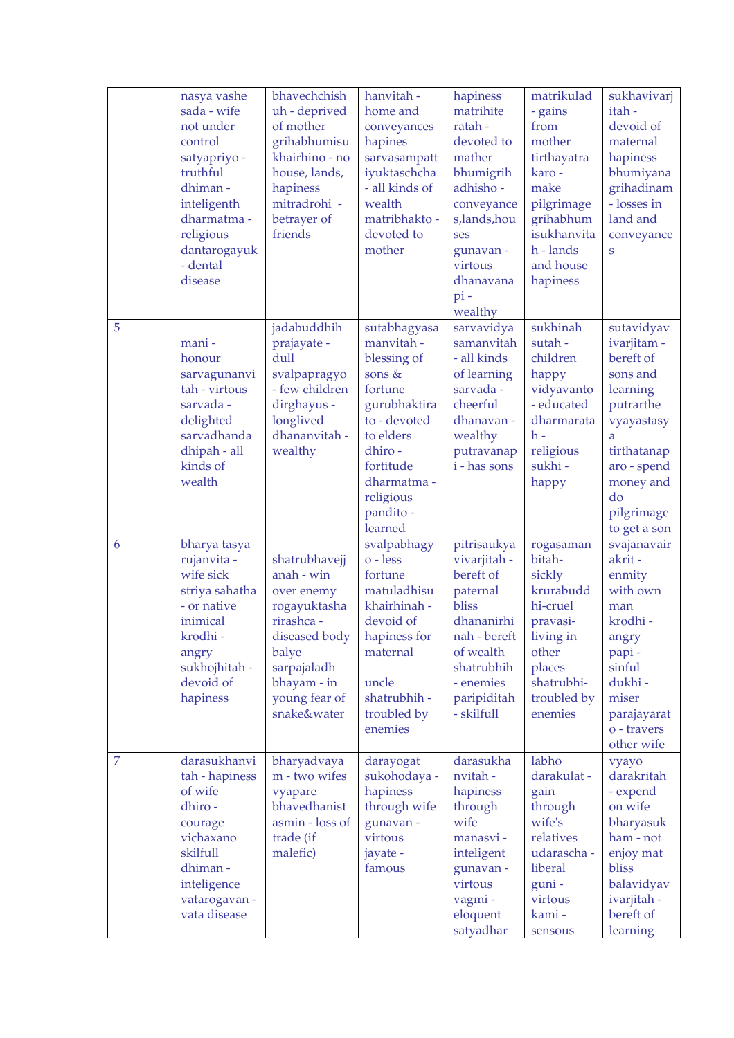|                | nasya vashe<br>sada - wife<br>not under<br>control<br>satyapriyo -<br>truthful<br>dhiman-<br>inteligenth<br>dharmatma-<br>religious<br>dantarogayuk<br>- dental<br>disease | bhavechchish<br>uh - deprived<br>of mother<br>grihabhumisu<br>khairhino - no<br>house, lands,<br>hapiness<br>mitradrohi -<br>betrayer of<br>friends             | hanvitah -<br>home and<br>conveyances<br>hapines<br>sarvasampatt<br>iyuktaschcha<br>- all kinds of<br>wealth<br>matribhakto -<br>devoted to<br>mother                                   | hapiness<br>matrihite<br>ratah-<br>devoted to<br>mather<br>bhumigrih<br>adhisho -<br>conveyance<br>s,lands,hou<br>ses<br>gunavan -<br>virtous<br>dhanavana<br>$pi -$<br>wealthy | matrikulad<br>- gains<br>from<br>mother<br>tirthayatra<br>karo-<br>make<br>pilgrimage<br>grihabhum<br>isukhanvita<br>h - lands<br>and house<br>hapiness | sukhavivarj<br>itah-<br>devoid of<br>maternal<br>hapiness<br>bhumiyana<br>grihadinam<br>- losses in<br>land and<br>conveyance<br>S                                            |
|----------------|----------------------------------------------------------------------------------------------------------------------------------------------------------------------------|-----------------------------------------------------------------------------------------------------------------------------------------------------------------|-----------------------------------------------------------------------------------------------------------------------------------------------------------------------------------------|---------------------------------------------------------------------------------------------------------------------------------------------------------------------------------|---------------------------------------------------------------------------------------------------------------------------------------------------------|-------------------------------------------------------------------------------------------------------------------------------------------------------------------------------|
| 5              | mani-<br>honour<br>sarvagunanvi<br>tah - virtous<br>sarvada -<br>delighted<br>sarvadhanda<br>dhipah - all<br>kinds of<br>wealth                                            | jadabuddhih<br>prajayate -<br>dull<br>svalpapragyo<br>- few children<br>dirghayus -<br>longlived<br>dhananvitah -<br>wealthy                                    | sutabhagyasa<br>manvitah -<br>blessing of<br>sons &<br>fortune<br>gurubhaktira<br>to - devoted<br>to elders<br>dhiro -<br>fortitude<br>dharmatma -<br>religious<br>pandito -<br>learned | sarvavidya<br>samanvitah<br>- all kinds<br>of learning<br>sarvada -<br>cheerful<br>dhanavan -<br>wealthy<br>putravanap<br>i - has sons                                          | sukhinah<br>sutah-<br>children<br>happy<br>vidyavanto<br>- educated<br>dharmarata<br>h -<br>religious<br>sukhi-<br>happy                                | sutavidyav<br>ivarjitam -<br>bereft of<br>sons and<br>learning<br>putrarthe<br>vyayastasy<br>a<br>tirthatanap<br>aro - spend<br>money and<br>do<br>pilgrimage<br>to get a son |
| 6              | bharya tasya<br>rujanvita -<br>wife sick<br>striya sahatha<br>- or native<br>inimical<br>krodhi -<br>angry<br>sukhojhitah -<br>devoid of<br>hapiness                       | shatrubhavejj<br>anah - win<br>over enemy<br>rogayuktasha<br>rirashca -<br>diseased body<br>balye<br>sarpajaladh<br>bhayam - in<br>young fear of<br>snake&water | svalpabhagy<br>$o$ - less<br>fortune<br>matuladhisu<br>khairhinah -<br>devoid of<br>hapiness for<br>maternal<br>uncle<br>shatrubhih -<br>troubled by<br>enemies                         | pitrisaukya<br>vivarjitah -<br>bereft of<br>paternal<br>bliss<br>dhananirhi<br>nah - bereft<br>of wealth<br>shatrubhih<br>- enemies<br>paripiditah<br>- skilfull                | rogasaman<br>bitah-<br>sickly<br>krurabudd<br>hi-cruel<br>pravasi-<br>living in<br>other<br>places<br>shatrubhi-<br>troubled by<br>enemies              | svajanavair<br>akrit-<br>enmity<br>with own<br>man<br>krodhi-<br>angry<br>papi-<br>sinful<br>dukhi-<br>miser<br>parajayarat<br>o - travers<br>other wife                      |
| $\overline{7}$ | darasukhanvi<br>tah - hapiness<br>of wife<br>dhiro -<br>courage<br>vichaxano<br>skilfull<br>dhiman-<br>inteligence<br>vatarogavan -<br>vata disease                        | bharyadvaya<br>m - two wifes<br>vyapare<br>bhavedhanist<br>asmin - loss of<br>trade (if<br>malefic)                                                             | darayogat<br>sukohodaya -<br>hapiness<br>through wife<br>gunavan -<br>virtous<br>jayate -<br>famous                                                                                     | darasukha<br>nvitah -<br>hapiness<br>through<br>wife<br>manasvi-<br>inteligent<br>gunavan -<br>virtous<br>vagmi -<br>eloquent<br>satyadhar                                      | labho<br>darakulat -<br>gain<br>through<br>wife's<br>relatives<br>udarascha -<br>liberal<br>guni-<br>virtous<br>kami-<br>sensous                        | vyayo<br>darakritah<br>- expend<br>on wife<br>bharyasuk<br>ham - not<br>enjoy mat<br>bliss<br>balavidyav<br>ivarjitah -<br>bereft of<br>learning                              |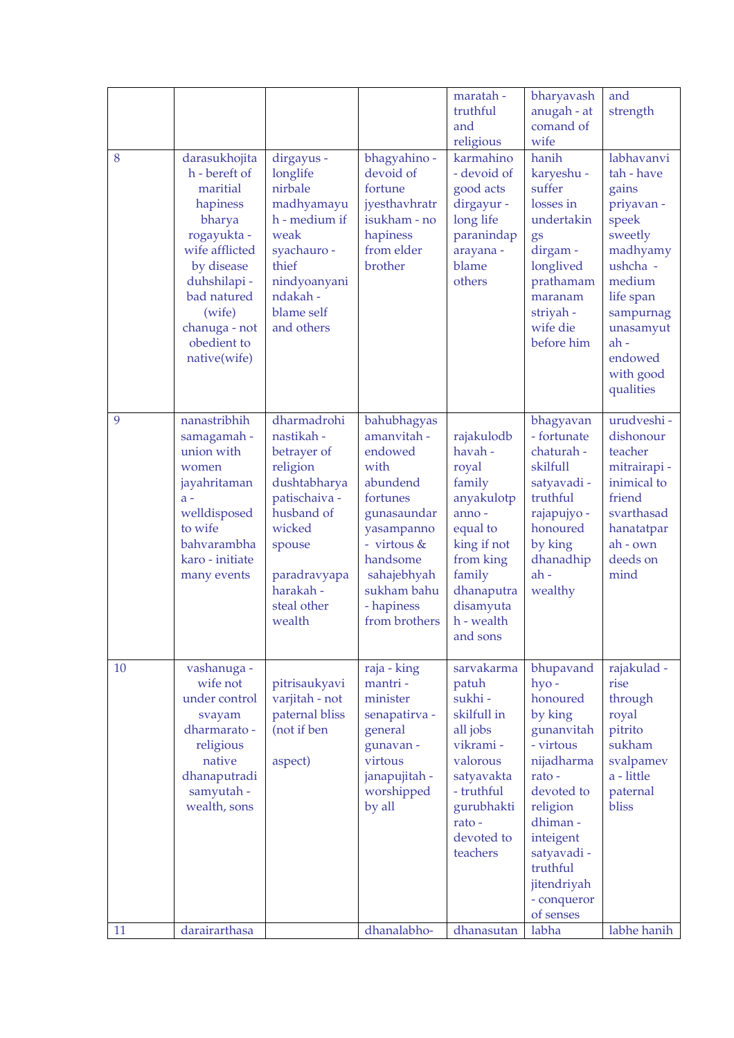| 8  | darasukhojita                                                                                                                                                                          | dirgayus -                                                                                                                                                                    | bhagyahino -                                                                                                                                                                               | maratah -<br>truthful<br>and<br>religious<br>karmahino                                                                                                                 | bharyavash<br>anugah - at<br>comand of<br>wife<br>hanih                                                                                                                                                            | and<br>strength<br>labhavanvi                                                                                                                                                 |
|----|----------------------------------------------------------------------------------------------------------------------------------------------------------------------------------------|-------------------------------------------------------------------------------------------------------------------------------------------------------------------------------|--------------------------------------------------------------------------------------------------------------------------------------------------------------------------------------------|------------------------------------------------------------------------------------------------------------------------------------------------------------------------|--------------------------------------------------------------------------------------------------------------------------------------------------------------------------------------------------------------------|-------------------------------------------------------------------------------------------------------------------------------------------------------------------------------|
|    | h - bereft of<br>maritial<br>hapiness<br>bharya<br>rogayukta -<br>wife afflicted<br>by disease<br>duhshilapi-<br>bad natured<br>(wife)<br>chanuga - not<br>obedient to<br>native(wife) | longlife<br>nirbale<br>madhyamayu<br>h - medium if<br>weak<br>syachauro -<br>thief<br>nindyoanyani<br>ndakah-<br>blame self<br>and others                                     | devoid of<br>fortune<br>jyesthavhratr<br>isukham - no<br>hapiness<br>from elder<br>brother                                                                                                 | - devoid of<br>good acts<br>dirgayur -<br>long life<br>paranindap<br>arayana -<br>blame<br>others                                                                      | karyeshu -<br>suffer<br>losses in<br>undertakin<br>gs<br>dirgam -<br>longlived<br>prathamam<br>maranam<br>striyah -<br>wife die<br>before him                                                                      | tah - have<br>gains<br>priyavan -<br>speek<br>sweetly<br>madhyamy<br>ushcha -<br>medium<br>life span<br>sampurnag<br>unasamyut<br>$ah -$<br>endowed<br>with good<br>qualities |
| 9  | nanastribhih<br>samagamah -<br>union with<br>women<br>jayahritaman<br>$a -$<br>welldisposed<br>to wife<br>bahvarambha<br>karo - initiate<br>many events                                | dharmadrohi<br>nastikah -<br>betrayer of<br>religion<br>dushtabharya<br>patischaiva -<br>husband of<br>wicked<br>spouse<br>paradravyapa<br>harakah -<br>steal other<br>wealth | bahubhagyas<br>amanvitah -<br>endowed<br>with<br>abundend<br>fortunes<br>gunasaundar<br>yasampanno<br>- virtous &<br>handsome<br>sahajebhyah<br>sukham bahu<br>- hapiness<br>from brothers | rajakulodb<br>havah -<br>royal<br>family<br>anyakulotp<br>anno-<br>equal to<br>king if not<br>from king<br>family<br>dhanaputra<br>disamyuta<br>h - wealth<br>and sons | bhagyavan<br>- fortunate<br>chaturah -<br>skilfull<br>satyavadi -<br>truthful<br>rajapujyo -<br>honoured<br>by king<br>dhanadhip<br>ah-<br>wealthy                                                                 | urudveshi -<br>dishonour<br>teacher<br>mitrairapi -<br>inimical to<br>friend<br>svarthasad<br>hanatatpar<br>ah - own<br>deeds on<br>mind                                      |
| 10 | vashanuga -<br>wife not<br>under control<br>svayam<br>dharmarato -<br>religious<br>native<br>dhanaputradi<br>samyutah-<br>wealth, sons                                                 | pitrisaukyavi<br>varjitah - not<br>paternal bliss<br>(not if ben<br>aspect)                                                                                                   | raja - king<br>mantri-<br>minister<br>senapatirva -<br>general<br>gunavan -<br>virtous<br>janapujitah -<br>worshipped<br>by all                                                            | sarvakarma<br>patuh<br>sukhi-<br>skilfull in<br>all jobs<br>vikrami -<br>valorous<br>satyavakta<br>- truthful<br>gurubhakti<br>rato-<br>devoted to<br>teachers         | bhupavand<br>hyo-<br>honoured<br>by king<br>gunanvitah<br>- virtous<br>nijadharma<br>rato-<br>devoted to<br>religion<br>dhiman-<br>inteigent<br>satyavadi -<br>truthful<br>jitendriyah<br>- conqueror<br>of senses | rajakulad -<br>rise<br>through<br>royal<br>pitrito<br>sukham<br>svalpamev<br>a - little<br>paternal<br>bliss                                                                  |
| 11 | darairarthasa                                                                                                                                                                          |                                                                                                                                                                               | dhanalabho-                                                                                                                                                                                | dhanasutan                                                                                                                                                             | labha                                                                                                                                                                                                              | labhe hanih                                                                                                                                                                   |